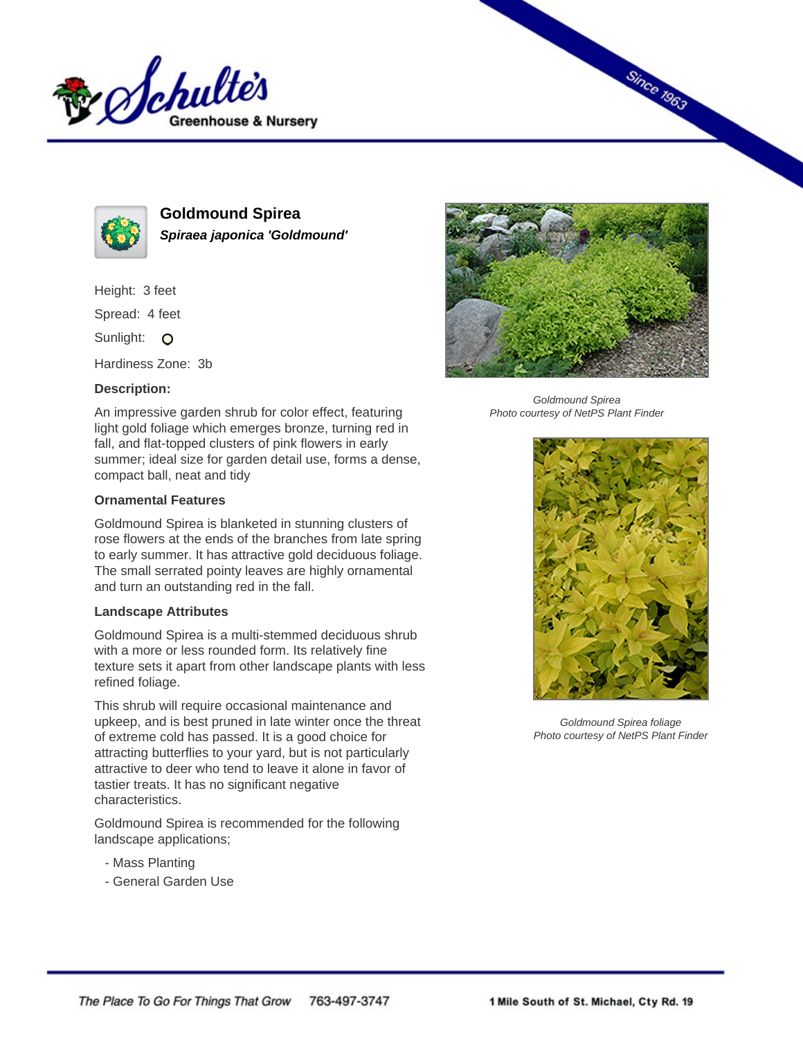



**Goldmound Spirea Spiraea japonica 'Goldmound'**

Height: 3 feet Spread: 4 feet

Sunlight: O

Hardiness Zone: 3b

## **Description:**

An impressive garden shrub for color effect, featuring light gold foliage which emerges bronze, turning red in fall, and flat-topped clusters of pink flowers in early summer; ideal size for garden detail use, forms a dense, compact ball, neat and tidy

## **Ornamental Features**

Goldmound Spirea is blanketed in stunning clusters of rose flowers at the ends of the branches from late spring to early summer. It has attractive gold deciduous foliage. The small serrated pointy leaves are highly ornamental and turn an outstanding red in the fall.

## **Landscape Attributes**

Goldmound Spirea is a multi-stemmed deciduous shrub with a more or less rounded form. Its relatively fine texture sets it apart from other landscape plants with less refined foliage.

This shrub will require occasional maintenance and upkeep, and is best pruned in late winter once the threat of extreme cold has passed. It is a good choice for attracting butterflies to your yard, but is not particularly attractive to deer who tend to leave it alone in favor of tastier treats. It has no significant negative characteristics.

Goldmound Spirea is recommended for the following landscape applications;

- Mass Planting
- General Garden Use



**Since 1963** 

Goldmound Spirea Photo courtesy of NetPS Plant Finder



Goldmound Spirea foliage Photo courtesy of NetPS Plant Finder